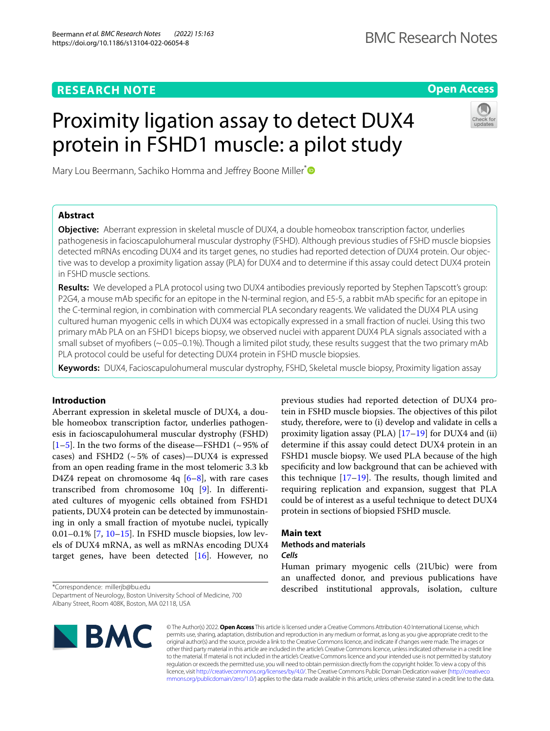# **RESEARCH NOTE**

# **Open Access**

# Proximity ligation assay to detect DUX4 protein in FSHD1 muscle: a pilot study



Mary Lou Beermann, Sachiko Homma and Jeffrey Boone Miller<sup>\*</sup>

# **Abstract**

**Objective:** Aberrant expression in skeletal muscle of DUX4, a double homeobox transcription factor, underlies pathogenesis in facioscapulohumeral muscular dystrophy (FSHD). Although previous studies of FSHD muscle biopsies detected mRNAs encoding DUX4 and its target genes, no studies had reported detection of DUX4 protein. Our objective was to develop a proximity ligation assay (PLA) for DUX4 and to determine if this assay could detect DUX4 protein in FSHD muscle sections.

**Results:** We developed a PLA protocol using two DUX4 antibodies previously reported by Stephen Tapscott's group: P2G4, a mouse mAb specifc for an epitope in the N-terminal region, and E5-5, a rabbit mAb specifc for an epitope in the C-terminal region, in combination with commercial PLA secondary reagents. We validated the DUX4 PLA using cultured human myogenic cells in which DUX4 was ectopically expressed in a small fraction of nuclei. Using this two primary mAb PLA on an FSHD1 biceps biopsy, we observed nuclei with apparent DUX4 PLA signals associated with a small subset of myofbers (~0.05–0.1%). Though a limited pilot study, these results suggest that the two primary mAb PLA protocol could be useful for detecting DUX4 protein in FSHD muscle biopsies.

**Keywords:** DUX4, Facioscapulohumeral muscular dystrophy, FSHD, Skeletal muscle biopsy, Proximity ligation assay

# **Introduction**

Aberrant expression in skeletal muscle of DUX4, a double homeobox transcription factor, underlies pathogenesis in facioscapulohumeral muscular dystrophy (FSHD)  $[1–5]$  $[1–5]$  $[1–5]$ . In the two forms of the disease—FSHD1 (~95% of cases) and FSHD2 ( $\sim$  5% of cases)—DUX4 is expressed from an open reading frame in the most telomeric 3.3 kb D4Z4 repeat on chromosome  $4q$   $[6-8]$  $[6-8]$ , with rare cases transcribed from chromosome 10q [[9\]](#page-5-0). In diferentiated cultures of myogenic cells obtained from FSHD1 patients, DUX4 protein can be detected by immunostaining in only a small fraction of myotube nuclei, typically 0.01–0.1% [\[7](#page-4-4), [10](#page-5-1)[–15](#page-5-2)]. In FSHD muscle biopsies, low levels of DUX4 mRNA, as well as mRNAs encoding DUX4 target genes, have been detected  $[16]$  $[16]$ . However, no previous studies had reported detection of DUX4 protein in FSHD muscle biopsies. The objectives of this pilot study, therefore, were to (i) develop and validate in cells a proximity ligation assay (PLA) [[17–](#page-5-4)[19](#page-5-5)] for DUX4 and (ii) determine if this assay could detect DUX4 protein in an FSHD1 muscle biopsy. We used PLA because of the high specifcity and low background that can be achieved with this technique  $[17-19]$  $[17-19]$ . The results, though limited and requiring replication and expansion, suggest that PLA could be of interest as a useful technique to detect DUX4 protein in sections of biopsied FSHD muscle.

# **Main text**

# **Methods and materials**

## *Cells*

Human primary myogenic cells (21Ubic) were from an unafected donor, and previous publications have described institutional approvals, isolation, culture

Department of Neurology, Boston University School of Medicine, 700 Albany Street, Room 408K, Boston, MA 02118, USA



© The Author(s) 2022. **Open Access** This article is licensed under a Creative Commons Attribution 4.0 International License, which permits use, sharing, adaptation, distribution and reproduction in any medium or format, as long as you give appropriate credit to the original author(s) and the source, provide a link to the Creative Commons licence, and indicate if changes were made. The images or other third party material in this article are included in the article's Creative Commons licence, unless indicated otherwise in a credit line to the material. If material is not included in the article's Creative Commons licence and your intended use is not permitted by statutory regulation or exceeds the permitted use, you will need to obtain permission directly from the copyright holder. To view a copy of this licence, visit [http://creativecommons.org/licenses/by/4.0/.](http://creativecommons.org/licenses/by/4.0/) The Creative Commons Public Domain Dedication waiver ([http://creativeco](http://creativecommons.org/publicdomain/zero/1.0/) [mmons.org/publicdomain/zero/1.0/](http://creativecommons.org/publicdomain/zero/1.0/)) applies to the data made available in this article, unless otherwise stated in a credit line to the data.

<sup>\*</sup>Correspondence: millerjb@bu.edu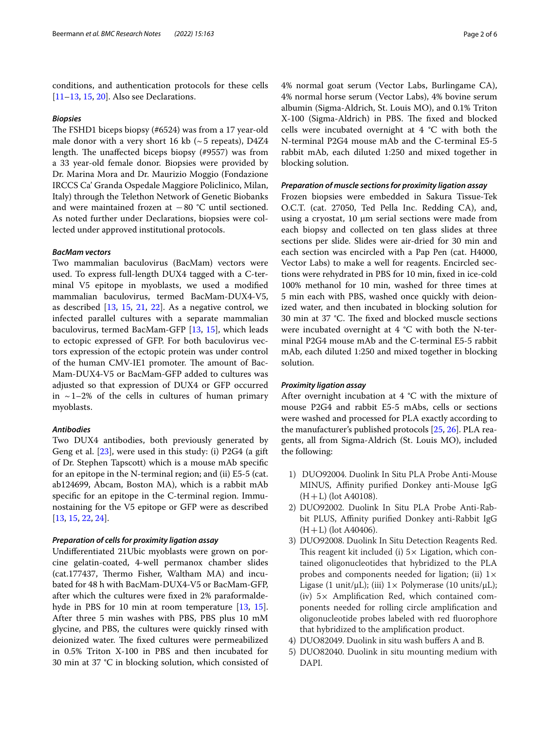conditions, and authentication protocols for these cells [[11–](#page-5-6)[13](#page-5-7), [15,](#page-5-2) [20](#page-5-8)]. Also see Declarations.

# *Biopsies*

The FSHD1 biceps biopsy (#6524) was from a 17 year-old male donor with a very short 16 kb ( $\sim$  5 repeats), D4Z4 length. The unaffected biceps biopsy  $(#9557)$  was from a 33 year-old female donor. Biopsies were provided by Dr. Marina Mora and Dr. Maurizio Moggio (Fondazione IRCCS Ca' Granda Ospedale Maggiore Policlinico, Milan, Italy) through the Telethon Network of Genetic Biobanks and were maintained frozen at −80 °C until sectioned. As noted further under Declarations, biopsies were collected under approved institutional protocols.

## *BacMam vectors*

Two mammalian baculovirus (BacMam) vectors were used. To express full-length DUX4 tagged with a C-terminal V5 epitope in myoblasts, we used a modifed mammalian baculovirus, termed BacMam-DUX4-V5, as described [[13,](#page-5-7) [15,](#page-5-2) [21](#page-5-9), [22](#page-5-10)]. As a negative control, we infected parallel cultures with a separate mammalian baculovirus, termed BacMam-GFP [[13,](#page-5-7) [15](#page-5-2)], which leads to ectopic expressed of GFP. For both baculovirus vectors expression of the ectopic protein was under control of the human CMV-IE1 promoter. The amount of Bac-Mam-DUX4-V5 or BacMam-GFP added to cultures was adjusted so that expression of DUX4 or GFP occurred in  $\sim$  1–2% of the cells in cultures of human primary myoblasts.

# *Antibodies*

Two DUX4 antibodies, both previously generated by Geng et al. [\[23](#page-5-11)], were used in this study: (i) P2G4 (a gift of Dr. Stephen Tapscott) which is a mouse mAb specifc for an epitope in the N-terminal region; and (ii) E5-5 (cat. ab124699, Abcam, Boston MA), which is a rabbit mAb specifc for an epitope in the C-terminal region. Immunostaining for the V5 epitope or GFP were as described [[13,](#page-5-7) [15](#page-5-2), [22](#page-5-10), [24\]](#page-5-12).

## *Preparation of cells for proximity ligation assay*

Undiferentiated 21Ubic myoblasts were grown on porcine gelatin-coated, 4-well permanox chamber slides (cat.177437, Thermo Fisher, Waltham MA) and incubated for 48 h with BacMam-DUX4-V5 or BacMam-GFP, after which the cultures were fxed in 2% paraformalde-hyde in PBS for 10 min at room temperature [\[13,](#page-5-7) [15](#page-5-2)]. After three 5 min washes with PBS, PBS plus 10 mM glycine, and PBS, the cultures were quickly rinsed with deionized water. The fixed cultures were permeabilized in 0.5% Triton X-100 in PBS and then incubated for 30 min at 37 °C in blocking solution, which consisted of 4% normal goat serum (Vector Labs, Burlingame CA), 4% normal horse serum (Vector Labs), 4% bovine serum albumin (Sigma-Aldrich, St. Louis MO), and 0.1% Triton X-100 (Sigma-Aldrich) in PBS. The fixed and blocked cells were incubated overnight at 4 °C with both the N-terminal P2G4 mouse mAb and the C-terminal E5-5 rabbit mAb, each diluted 1:250 and mixed together in blocking solution.

# *Preparation of muscle sections for proximity ligation assay*

Frozen biopsies were embedded in Sakura Tissue-Tek O.C.T. (cat. 27050, Ted Pella Inc. Redding CA), and, using a cryostat,  $10 \mu m$  serial sections were made from each biopsy and collected on ten glass slides at three sections per slide. Slides were air-dried for 30 min and each section was encircled with a Pap Pen (cat. H4000, Vector Labs) to make a well for reagents. Encircled sections were rehydrated in PBS for 10 min, fxed in ice-cold 100% methanol for 10 min, washed for three times at 5 min each with PBS, washed once quickly with deionized water, and then incubated in blocking solution for 30 min at 37 °C. The fixed and blocked muscle sections were incubated overnight at 4 °C with both the N-terminal P2G4 mouse mAb and the C-terminal E5-5 rabbit mAb, each diluted 1:250 and mixed together in blocking solution.

## *Proximity ligation assay*

After overnight incubation at  $4 °C$  with the mixture of mouse P2G4 and rabbit E5-5 mAbs, cells or sections were washed and processed for PLA exactly according to the manufacturer's published protocols [[25,](#page-5-13) [26\]](#page-5-14). PLA reagents, all from Sigma-Aldrich (St. Louis MO), included the following:

- 1) DUO92004. Duolink In Situ PLA Probe Anti-Mouse MINUS, Affinity purified Donkey anti-Mouse IgG  $(H+L)$  (lot A40108).
- 2) DUO92002. Duolink In Situ PLA Probe Anti-Rabbit PLUS, Affinity purified Donkey anti-Rabbit IgG  $(H+L)$  (lot A40406).
- 3) DUO92008. Duolink In Situ Detection Reagents Red. This reagent kit included (i)  $5\times$  Ligation, which contained oligonucleotides that hybridized to the PLA probes and components needed for ligation; (ii)  $1 \times$ Ligase (1 unit/ $\mu$ L); (iii)  $1 \times$  Polymerase (10 units/ $\mu$ L); (iv)  $5\times$  Amplification Red, which contained components needed for rolling circle amplifcation and oligonucleotide probes labeled with red fuorophore that hybridized to the amplifcation product.
- 4) DUO82049. Duolink in situ wash bufers A and B.
- 5) DUO82040. Duolink in situ mounting medium with DAPI.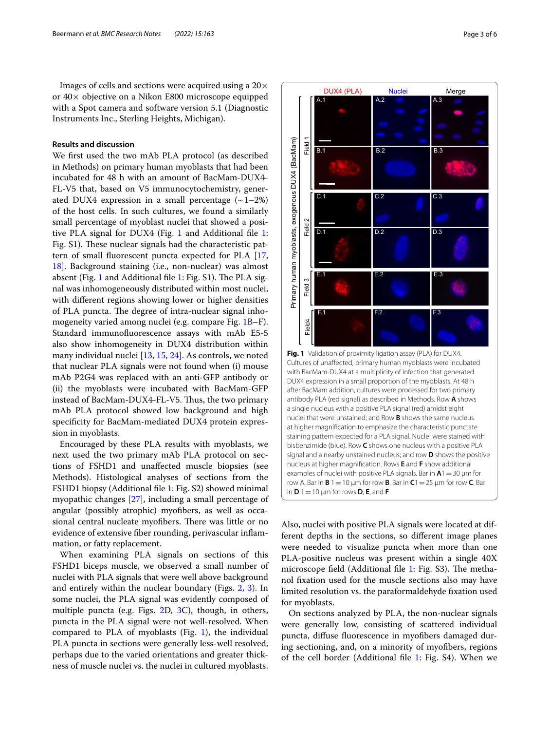Images of cells and sections were acquired using a  $20 \times$ or 40× objective on a Nikon E800 microscope equipped with a Spot camera and software version 5.1 (Diagnostic Instruments Inc., Sterling Heights, Michigan).

# **Results and discussion**

We frst used the two mAb PLA protocol (as described in Methods) on primary human myoblasts that had been incubated for 48 h with an amount of BacMam-DUX4- FL-V5 that, based on V5 immunocytochemistry, generated DUX4 expression in a small percentage  $(-1-2\%)$ of the host cells. In such cultures, we found a similarly small percentage of myoblast nuclei that showed a positive PLA signal for DUX4 (Fig. [1](#page-2-0) and Additional fle [1](#page-4-5): Fig. S1). These nuclear signals had the characteristic pattern of small fuorescent puncta expected for PLA [\[17](#page-5-4), [18\]](#page-5-15). Background staining (i.e., non-nuclear) was almost absent (Fig. [1](#page-4-5) and Additional file 1: Fig. S1). The PLA signal was inhomogeneously distributed within most nuclei, with diferent regions showing lower or higher densities of PLA puncta. The degree of intra-nuclear signal inhomogeneity varied among nuclei (e.g. compare Fig. [1B](#page-2-0)–F). Standard immunofuorescence assays with mAb E5-5 also show inhomogeneity in DUX4 distribution within many individual nuclei [\[13,](#page-5-7) [15](#page-5-2), [24\]](#page-5-12). As controls, we noted that nuclear PLA signals were not found when (i) mouse mAb P2G4 was replaced with an anti-GFP antibody or (ii) the myoblasts were incubated with BacMam-GFP instead of BacMam-DUX4-FL-V5. Thus, the two primary mAb PLA protocol showed low background and high specifcity for BacMam-mediated DUX4 protein expression in myoblasts.

Encouraged by these PLA results with myoblasts, we next used the two primary mAb PLA protocol on sections of FSHD1 and unafected muscle biopsies (see Methods). Histological analyses of sections from the FSHD1 biopsy (Additional fle [1](#page-4-5): Fig. S2) showed minimal myopathic changes [\[27\]](#page-5-16), including a small percentage of angular (possibly atrophic) myofbers, as well as occasional central nucleate myofibers. There was little or no evidence of extensive fber rounding, perivascular infammation, or fatty replacement.

When examining PLA signals on sections of this FSHD1 biceps muscle, we observed a small number of nuclei with PLA signals that were well above background and entirely within the nuclear boundary (Figs. [2](#page-3-0), [3\)](#page-3-1). In some nuclei, the PLA signal was evidently composed of multiple puncta (e.g. Figs. [2](#page-3-0)D, [3C](#page-3-1)), though, in others, puncta in the PLA signal were not well-resolved. When compared to PLA of myoblasts (Fig. [1](#page-2-0)), the individual PLA puncta in sections were generally less-well resolved, perhaps due to the varied orientations and greater thickness of muscle nuclei vs. the nuclei in cultured myoblasts.



<span id="page-2-0"></span>Also, nuclei with positive PLA signals were located at different depths in the sections, so diferent image planes were needed to visualize puncta when more than one PLA-positive nucleus was present within a single 40X microscope field (Additional file  $1:$  Fig. S3). The methanol fxation used for the muscle sections also may have limited resolution vs. the paraformaldehyde fxation used for myoblasts.

On sections analyzed by PLA, the non-nuclear signals were generally low, consisting of scattered individual puncta, difuse fuorescence in myofbers damaged during sectioning, and, on a minority of myofbers, regions of the cell border (Additional fle [1](#page-4-5): Fig. S4). When we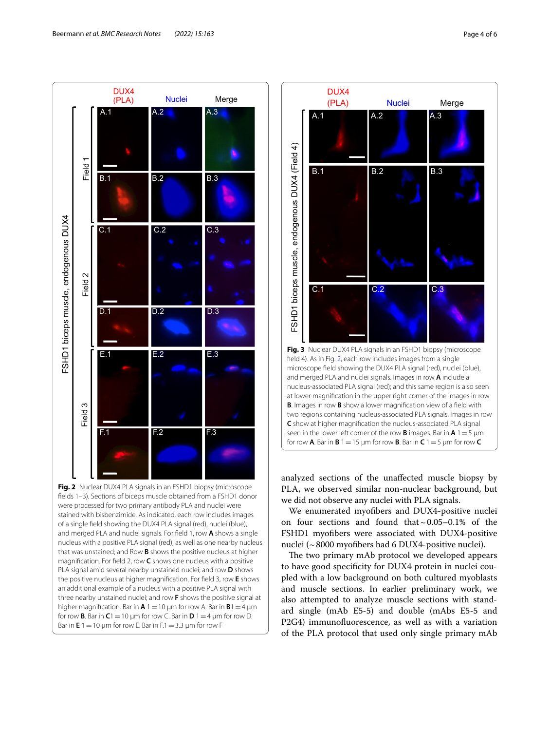

<span id="page-3-0"></span>felds 1–3). Sections of biceps muscle obtained from a FSHD1 donor were processed for two primary antibody PLA and nuclei were stained with bisbenzimide. As indicated, each row includes images of a single feld showing the DUX4 PLA signal (red), nuclei (blue), and merged PLA and nuclei signals. For feld 1, row **A** shows a single nucleus with a positive PLA signal (red), as well as one nearby nucleus that was unstained; and Row **B** shows the positive nucleus at higher magnifcation. For feld 2, row **C** shows one nucleus with a positive PLA signal amid several nearby unstained nuclei; and row **D** shows the positive nucleus at higher magnifcation. For feld 3, row **E** shows an additional example of a nucleus with a positive PLA signal with three nearby unstained nuclei; and row **F** shows the positive signal at higher magnification. Bar in  $A$  1 = 10  $\mu$ m for row A. Bar in  $B$ 1 = 4  $\mu$ m for row **B**. Bar in  $C1 = 10$  µm for row C. Bar in  $D1 = 4$  µm for row D. Bar in  $E 1 = 10 \mu m$  for row E. Bar in  $F.1 = 3.3 \mu m$  for row F



<span id="page-3-1"></span>analyzed sections of the unafected muscle biopsy by PLA, we observed similar non-nuclear background, but we did not observe any nuclei with PLA signals.

We enumerated myofbers and DUX4-positive nuclei on four sections and found that  $\sim 0.05-0.1\%$  of the FSHD1 myofbers were associated with DUX4-positive nuclei (~8000 myofbers had 6 DUX4-positive nuclei).

The two primary mAb protocol we developed appears to have good specifcity for DUX4 protein in nuclei coupled with a low background on both cultured myoblasts and muscle sections. In earlier preliminary work, we also attempted to analyze muscle sections with standard single (mAb E5-5) and double (mAbs E5-5 and P2G4) immunofuorescence, as well as with a variation of the PLA protocol that used only single primary mAb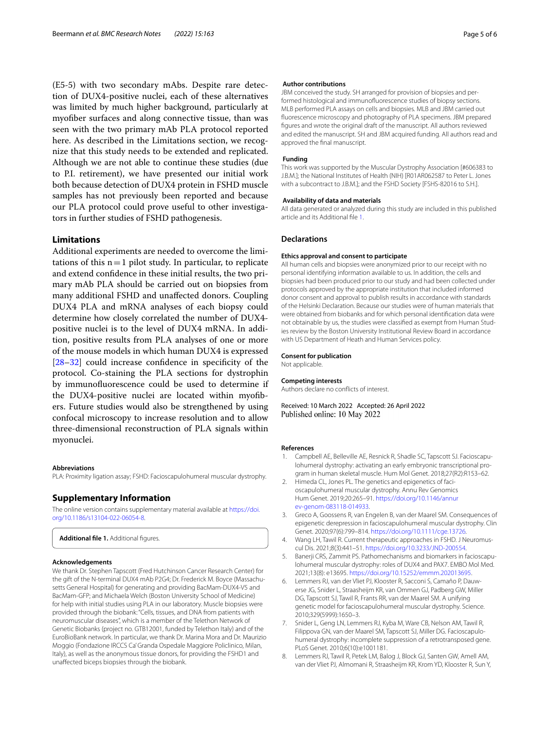(E5-5) with two secondary mAbs. Despite rare detection of DUX4-positive nuclei, each of these alternatives was limited by much higher background, particularly at myofber surfaces and along connective tissue, than was seen with the two primary mAb PLA protocol reported here. As described in the Limitations section, we recognize that this study needs to be extended and replicated. Although we are not able to continue these studies (due to P.I. retirement), we have presented our initial work both because detection of DUX4 protein in FSHD muscle samples has not previously been reported and because our PLA protocol could prove useful to other investigators in further studies of FSHD pathogenesis.

# **Limitations**

Additional experiments are needed to overcome the limitations of this  $n=1$  pilot study. In particular, to replicate and extend confdence in these initial results, the two primary mAb PLA should be carried out on biopsies from many additional FSHD and unafected donors. Coupling DUX4 PLA and mRNA analyses of each biopsy could determine how closely correlated the number of DUX4 positive nuclei is to the level of DUX4 mRNA. In addition, positive results from PLA analyses of one or more of the mouse models in which human DUX4 is expressed [[28–](#page-5-17)[32](#page-5-18)] could increase confidence in specificity of the protocol. Co-staining the PLA sections for dystrophin by immunofuorescence could be used to determine if the DUX4-positive nuclei are located within myofbers. Future studies would also be strengthened by using confocal microscopy to increase resolution and to allow three-dimensional reconstruction of PLA signals within myonuclei.

#### **Abbreviations**

PLA: Proximity ligation assay; FSHD: Facioscapulohumeral muscular dystrophy.

# **Supplementary Information**

The online version contains supplementary material available at [https://doi.](https://doi.org/10.1186/s13104-022-06054-8) [org/10.1186/s13104-022-06054-8](https://doi.org/10.1186/s13104-022-06054-8).

<span id="page-4-5"></span>Additional file 1. Additional figures.

#### **Acknowledgements**

We thank Dr. Stephen Tapscott (Fred Hutchinson Cancer Research Center) for the gift of the N-terminal DUX4 mAb P2G4; Dr. Frederick M. Boyce (Massachusetts General Hospital) for generating and providing BacMam-DUX4-V5 and BacMam-GFP; and Michaela Welch (Boston University School of Medicine) for help with initial studies using PLA in our laboratory. Muscle biopsies were provided through the biobank: "Cells, tissues, and DNA from patients with neuromuscular diseases", which is a member of the Telethon Network of Genetic Biobanks (project no. GTB12001, funded by Telethon Italy) and of the EuroBioBank network. In particular, we thank Dr. Marina Mora and Dr. Maurizio Moggio (Fondazione IRCCS Ca' Granda Ospedale Maggiore Policlinico, Milan, Italy), as well as the anonymous tissue donors, for providing the FSHD1 and unafected biceps biopsies through the biobank.

#### **Author contributions**

JBM conceived the study. SH arranged for provision of biopsies and performed histological and immunofuorescence studies of biopsy sections. MLB performed PLA assays on cells and biopsies. MLB and JBM carried out fuorescence microscopy and photography of PLA specimens. JBM prepared fgures and wrote the original draft of the manuscript. All authors reviewed and edited the manuscript. SH and JBM acquired funding. All authors read and approved the fnal manuscript.

## **Funding**

This work was supported by the Muscular Dystrophy Association [#606383 to J.B.M.]; the National Institutes of Health (NIH) [R01AR062587 to Peter L. Jones with a subcontract to J.B.M.]; and the FSHD Society [FSHS-82016 to S.H.].

#### **Availability of data and materials**

All data generated or analyzed during this study are included in this published article and its Additional fle [1.](#page-4-5)

## **Declarations**

#### **Ethics approval and consent to participate**

All human cells and biopsies were anonymized prior to our receipt with no personal identifying information available to us. In addition, the cells and biopsies had been produced prior to our study and had been collected under protocols approved by the appropriate institution that included informed donor consent and approval to publish results in accordance with standards of the Helsinki Declaration. Because our studies were of human materials that were obtained from biobanks and for which personal identifcation data were not obtainable by us, the studies were classifed as exempt from Human Studies review by the Boston University Institutional Review Board in accordance with US Department of Heath and Human Services policy.

#### **Consent for publication**

Not applicable.

#### **Competing interests**

Authors declare no conficts of interest.

Received: 10 March 2022 Accepted: 26 April 2022 Published online: 10 May 2022

#### **References**

- <span id="page-4-0"></span>1. Campbell AE, Belleville AE, Resnick R, Shadle SC, Tapscott SJ. Facioscapulohumeral dystrophy: activating an early embryonic transcriptional program in human skeletal muscle. Hum Mol Genet. 2018;27(R2):R153–62.
- 2. Himeda CL, Jones PL. The genetics and epigenetics of facioscapulohumeral muscular dystrophy. Annu Rev Genomics Hum Genet. 2019;20:265–91. [https://doi.org/10.1146/annur](https://doi.org/10.1146/annurev-genom-083118-014933) [ev-genom-083118-014933](https://doi.org/10.1146/annurev-genom-083118-014933).
- 3. Greco A, Goossens R, van Engelen B, van der Maarel SM. Consequences of epigenetic derepression in facioscapulohumeral muscular dystrophy. Clin Genet. 2020;97(6):799–814. <https://doi.org/10.1111/cge.13726>.
- 4. Wang LH, Tawil R. Current therapeutic approaches in FSHD. J Neuromuscul Dis. 2021;8(3):441–51. <https://doi.org/10.3233/JND-200554>.
- <span id="page-4-1"></span>5. Banerji CRS, Zammit PS. Pathomechanisms and biomarkers in facioscapulohumeral muscular dystrophy: roles of DUX4 and PAX7. EMBO Mol Med. 2021;13(8): e13695.<https://doi.org/10.15252/emmm.202013695>.
- <span id="page-4-2"></span>6. Lemmers RJ, van der Vliet PJ, Klooster R, Sacconi S, Camaño P, Dauwerse JG, Snider L, Straasheijm KR, van Ommen GJ, Padberg GW, Miller DG, Tapscott SJ, Tawil R, Frants RR, van der Maarel SM. A unifying genetic model for facioscapulohumeral muscular dystrophy. Science. 2010;329(5999):1650–3.
- <span id="page-4-4"></span>7. Snider L, Geng LN, Lemmers RJ, Kyba M, Ware CB, Nelson AM, Tawil R, Filippova GN, van der Maarel SM, Tapscott SJ, Miller DG. Facioscapulohumeral dystrophy: incomplete suppression of a retrotransposed gene. PLoS Genet. 2010;6(10):e1001181.
- <span id="page-4-3"></span>8. Lemmers RJ, Tawil R, Petek LM, Balog J, Block GJ, Santen GW, Amell AM, van der Vliet PJ, Almomani R, Straasheijm KR, Krom YD, Klooster R, Sun Y,